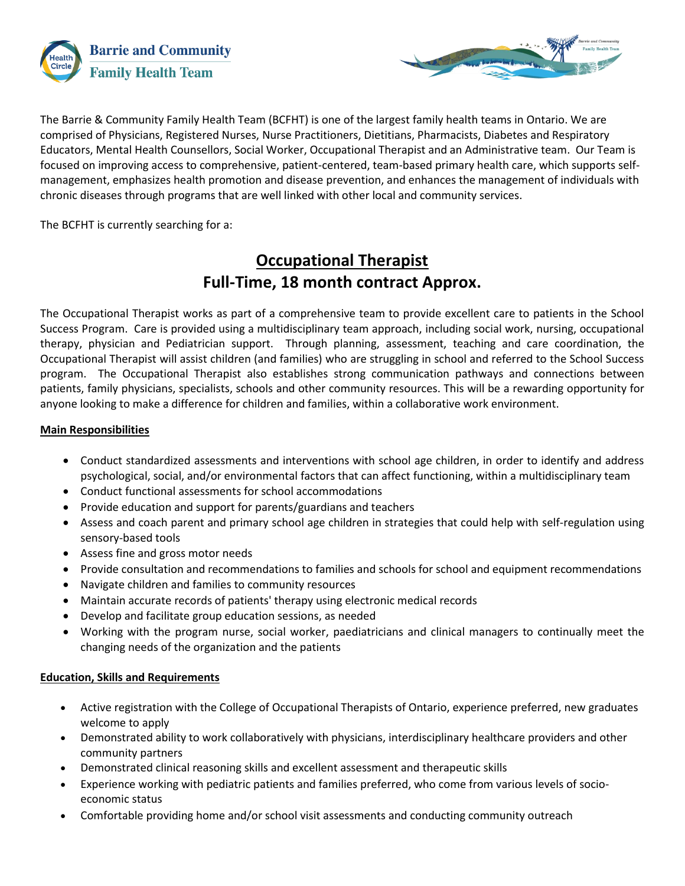



The Barrie & Community Family Health Team (BCFHT) is one of the largest family health teams in Ontario. We are comprised of Physicians, Registered Nurses, Nurse Practitioners, Dietitians, Pharmacists, Diabetes and Respiratory Educators, Mental Health Counsellors, Social Worker, Occupational Therapist and an Administrative team. Our Team is focused on improving access to comprehensive, patient-centered, team-based primary health care, which supports selfmanagement, emphasizes health promotion and disease prevention, and enhances the management of individuals with chronic diseases through programs that are well linked with other local and community services.

The BCFHT is currently searching for a:

# **Occupational Therapist Full-Time, 18 month contract Approx.**

The Occupational Therapist works as part of a comprehensive team to provide excellent care to patients in the School Success Program. Care is provided using a multidisciplinary team approach, including social work, nursing, occupational therapy, physician and Pediatrician support. Through planning, assessment, teaching and care coordination, the Occupational Therapist will assist children (and families) who are struggling in school and referred to the School Success program. The Occupational Therapist also establishes strong communication pathways and connections between patients, family physicians, specialists, schools and other community resources. This will be a rewarding opportunity for anyone looking to make a difference for children and families, within a collaborative work environment.

## **Main Responsibilities**

- Conduct standardized assessments and interventions with school age children, in order to identify and address psychological, social, and/or environmental factors that can affect functioning, within a multidisciplinary team
- Conduct functional assessments for school accommodations
- Provide education and support for parents/guardians and teachers
- Assess and coach parent and primary school age children in strategies that could help with self-regulation using sensory-based tools
- Assess fine and gross motor needs
- Provide consultation and recommendations to families and schools for school and equipment recommendations
- Navigate children and families to community resources
- Maintain accurate records of patients' therapy using electronic medical records
- Develop and facilitate group education sessions, as needed
- Working with the program nurse, social worker, paediatricians and clinical managers to continually meet the changing needs of the organization and the patients

## **Education, Skills and Requirements**

- Active registration with the College of Occupational Therapists of Ontario, experience preferred, new graduates welcome to apply
- Demonstrated ability to work collaboratively with physicians, interdisciplinary healthcare providers and other community partners
- Demonstrated clinical reasoning skills and excellent assessment and therapeutic skills
- Experience working with pediatric patients and families preferred, who come from various levels of socioeconomic status
- Comfortable providing home and/or school visit assessments and conducting community outreach